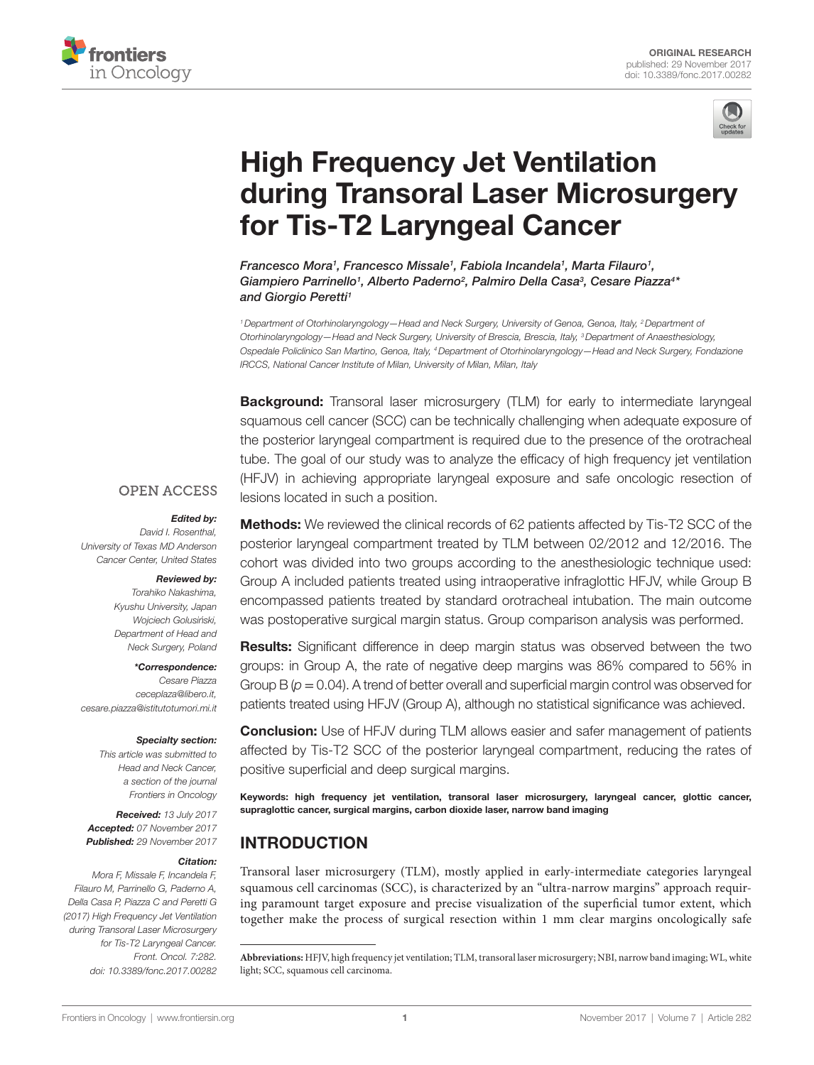



# **High Frequency Jet Ventilation** during Transoral Laser Microsurgery for Tis-T2 Laryngeal Cancer

*[Francesco Mora1](http://loop.frontiersin.org/people/461567) , [Francesco Missale](http://loop.frontiersin.org/people/457718)1 , Fabiola Incandela1 , Marta Filauro1 ,*  Giampiero Parrinello<sup>1</sup>, Alberto Paderno<sup>2</sup>, Palmiro Della Casa<sup>3</sup>, Cesare Piazza<sup>4\*</sup> *and [Giorgio Peretti](http://loop.frontiersin.org/people/428326)1*

*1Department of Otorhinolaryngology—Head and Neck Surgery, University of Genoa, Genoa, Italy, 2Department of Otorhinolaryngology—Head and Neck Surgery, University of Brescia, Brescia, Italy, 3Department of Anaesthesiology, Ospedale Policlinico San Martino, Genoa, Italy, 4Department of Otorhinolaryngology—Head and Neck Surgery, Fondazione IRCCS, National Cancer Institute of Milan, University of Milan, Milan, Italy*

**Background:** Transoral laser microsurgery (TLM) for early to intermediate laryngeal squamous cell cancer (SCC) can be technically challenging when adequate exposure of the posterior laryngeal compartment is required due to the presence of the orotracheal tube. The goal of our study was to analyze the efficacy of high frequency jet ventilation (HFJV) in achieving appropriate laryngeal exposure and safe oncologic resection of lesions located in such a position.

### **OPEN ACCESS**

#### *Edited by:*

*David I. Rosenthal, University of Texas MD Anderson Cancer Center, United States*

#### *Reviewed by:*

*Torahiko Nakashima, Kyushu University, Japan Wojciech Golusin´ski, Department of Head and Neck Surgery, Poland*

*\*Correspondence: Cesare Piazza [ceceplaza@libero.it,](mailto:ceceplaza@libero.it) [cesare.piazza@istitutotumori.mi.it](mailto:cesare.piazza@istitutotumori.mi.it)*

#### *Specialty section:*

*This article was submitted to Head and Neck Cancer, a section of the journal Frontiers in Oncology*

*Received: 13 July 2017 Accepted: 07 November 2017 Published: 29 November 2017*

#### *Citation:*

*Mora F, Missale F, Incandela F, Filauro M, Parrinello G, Paderno A, Della Casa P, Piazza C and Peretti G (2017) High Frequency Jet Ventilation during Transoral Laser Microsurgery for Tis-T2 Laryngeal Cancer. Front. Oncol. 7:282. doi: [10.3389/fonc.2017.00282](https://doi.org/10.3389/fonc.2017.00282)*

**Methods:** We reviewed the clinical records of 62 patients affected by Tis-T2 SCC of the posterior laryngeal compartment treated by TLM between 02/2012 and 12/2016. The cohort was divided into two groups according to the anesthesiologic technique used: Group A included patients treated using intraoperative infraglottic HFJV, while Group B encompassed patients treated by standard orotracheal intubation. The main outcome was postoperative surgical margin status. Group comparison analysis was performed.

**Results:** Significant difference in deep margin status was observed between the two groups: in Group A, the rate of negative deep margins was 86% compared to 56% in Group B  $(p = 0.04)$ . A trend of better overall and superficial margin control was observed for patients treated using HFJV (Group A), although no statistical significance was achieved.

**Conclusion:** Use of HFJV during TLM allows easier and safer management of patients affected by Tis-T2 SCC of the posterior laryngeal compartment, reducing the rates of positive superficial and deep surgical margins.

Keywords: high frequency jet ventilation, transoral laser microsurgery, laryngeal cancer, glottic cancer, supraglottic cancer, surgical margins, carbon dioxide laser, narrow band imaging

# INTRODUCTION

Transoral laser microsurgery (TLM), mostly applied in early-intermediate categories laryngeal squamous cell carcinomas (SCC), is characterized by an "ultra-narrow margins" approach requiring paramount target exposure and precise visualization of the superficial tumor extent, which together make the process of surgical resection within 1 mm clear margins oncologically safe

**Abbreviations:** HFJV, high frequency jet ventilation; TLM, transoral laser microsurgery; NBI, narrow band imaging; WL, white light; SCC, squamous cell carcinoma.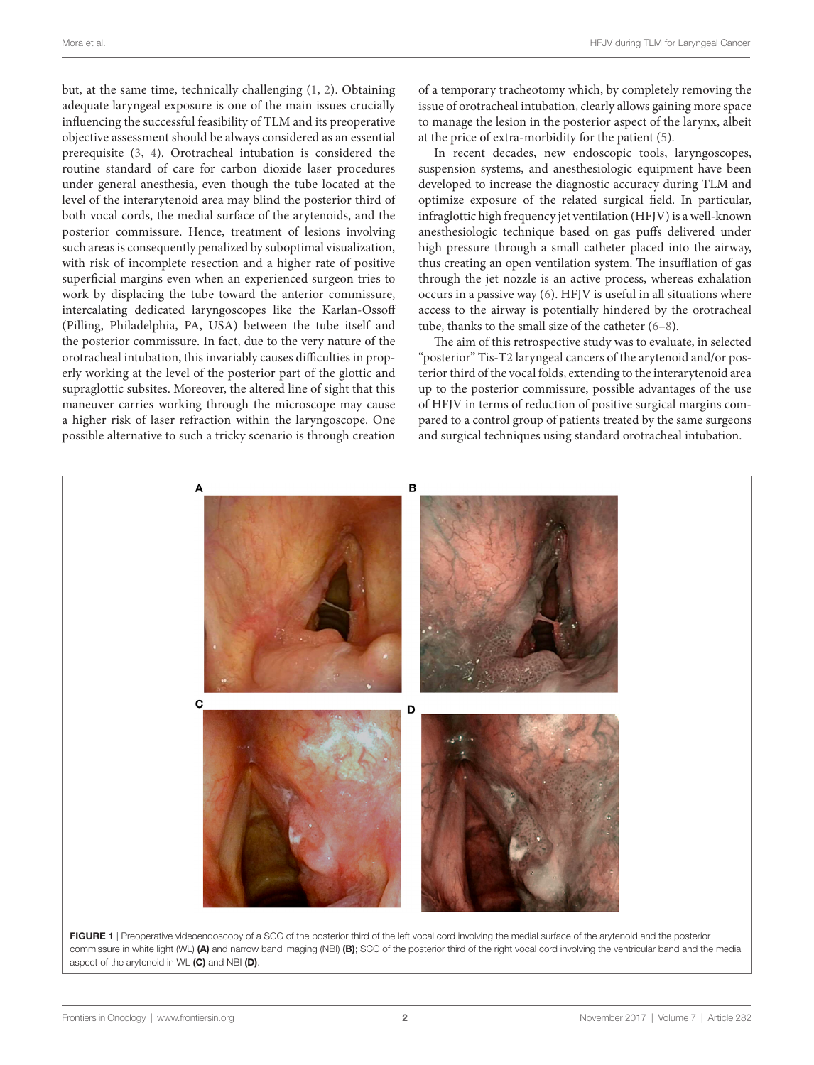but, at the same time, technically challenging [\(1](#page-4-0), [2\)](#page-4-1). Obtaining adequate laryngeal exposure is one of the main issues crucially influencing the successful feasibility of TLM and its preoperative objective assessment should be always considered as an essential prerequisite ([3](#page-4-2), [4\)](#page-4-3). Orotracheal intubation is considered the routine standard of care for carbon dioxide laser procedures under general anesthesia, even though the tube located at the level of the interarytenoid area may blind the posterior third of both vocal cords, the medial surface of the arytenoids, and the posterior commissure. Hence, treatment of lesions involving such areas is consequently penalized by suboptimal visualization, with risk of incomplete resection and a higher rate of positive superficial margins even when an experienced surgeon tries to work by displacing the tube toward the anterior commissure, intercalating dedicated laryngoscopes like the Karlan-Ossoff (Pilling, Philadelphia, PA, USA) between the tube itself and the posterior commissure. In fact, due to the very nature of the orotracheal intubation, this invariably causes difficulties in properly working at the level of the posterior part of the glottic and supraglottic subsites. Moreover, the altered line of sight that this maneuver carries working through the microscope may cause a higher risk of laser refraction within the laryngoscope. One possible alternative to such a tricky scenario is through creation of a temporary tracheotomy which, by completely removing the issue of orotracheal intubation, clearly allows gaining more space to manage the lesion in the posterior aspect of the larynx, albeit at the price of extra-morbidity for the patient ([5](#page-4-4)).

In recent decades, new endoscopic tools, laryngoscopes, suspension systems, and anesthesiologic equipment have been developed to increase the diagnostic accuracy during TLM and optimize exposure of the related surgical field. In particular, infraglottic high frequency jet ventilation (HFJV) is a well-known anesthesiologic technique based on gas puffs delivered under high pressure through a small catheter placed into the airway, thus creating an open ventilation system. The insufflation of gas through the jet nozzle is an active process, whereas exhalation occurs in a passive way [\(6\)](#page-4-5). HFJV is useful in all situations where access to the airway is potentially hindered by the orotracheal tube, thanks to the small size of the catheter [\(6–](#page-4-5)[8](#page-4-6)).

The aim of this retrospective study was to evaluate, in selected "posterior" Tis-T2 laryngeal cancers of the arytenoid and/or posterior third of the vocal folds, extending to the interarytenoid area up to the posterior commissure, possible advantages of the use of HFJV in terms of reduction of positive surgical margins compared to a control group of patients treated by the same surgeons and surgical techniques using standard orotracheal intubation.

<span id="page-1-0"></span>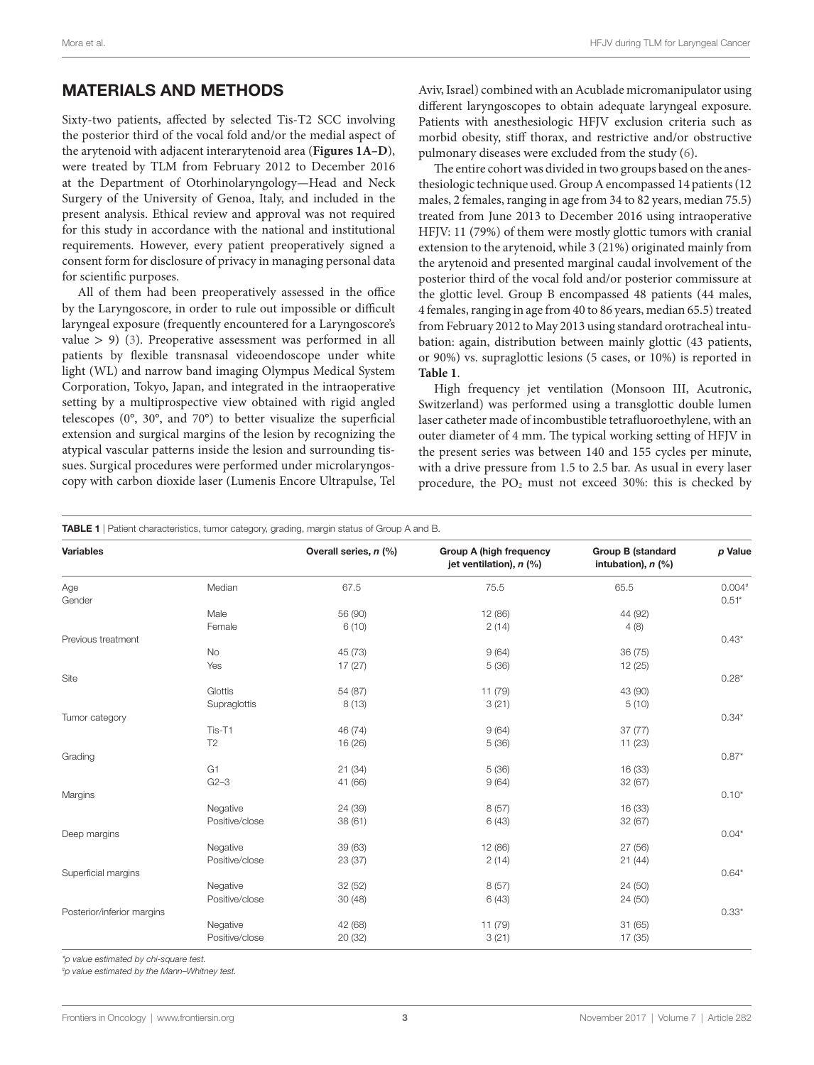## MATERIALS AND METHODS

Sixty-two patients, affected by selected Tis-T2 SCC involving the posterior third of the vocal fold and/or the medial aspect of the arytenoid with adjacent interarytenoid area (**[Figures 1A–D](#page-1-0)**), were treated by TLM from February 2012 to December 2016 at the Department of Otorhinolaryngology—Head and Neck Surgery of the University of Genoa, Italy, and included in the present analysis. Ethical review and approval was not required for this study in accordance with the national and institutional requirements. However, every patient preoperatively signed a consent form for disclosure of privacy in managing personal data for scientific purposes.

All of them had been preoperatively assessed in the office by the Laryngoscore, in order to rule out impossible or difficult laryngeal exposure (frequently encountered for a Laryngoscore's value  $> 9$ ) ([3](#page-4-2)). Preoperative assessment was performed in all patients by flexible transnasal videoendoscope under white light (WL) and narrow band imaging Olympus Medical System Corporation, Tokyo, Japan, and integrated in the intraoperative setting by a multiprospective view obtained with rigid angled telescopes (0°, 30°, and 70°) to better visualize the superficial extension and surgical margins of the lesion by recognizing the atypical vascular patterns inside the lesion and surrounding tissues. Surgical procedures were performed under microlaryngoscopy with carbon dioxide laser (Lumenis Encore Ultrapulse, Tel

Aviv, Israel) combined with an Acublade micromanipulator using different laryngoscopes to obtain adequate laryngeal exposure. Patients with anesthesiologic HFJV exclusion criteria such as morbid obesity, stiff thorax, and restrictive and/or obstructive pulmonary diseases were excluded from the study [\(6\)](#page-4-5).

The entire cohort was divided in two groups based on the anesthesiologic technique used. Group A encompassed 14 patients (12 males, 2 females, ranging in age from 34 to 82 years, median 75.5) treated from June 2013 to December 2016 using intraoperative HFJV: 11 (79%) of them were mostly glottic tumors with cranial extension to the arytenoid, while 3 (21%) originated mainly from the arytenoid and presented marginal caudal involvement of the posterior third of the vocal fold and/or posterior commissure at the glottic level. Group B encompassed 48 patients (44 males, 4 females, ranging in age from 40 to 86 years, median 65.5) treated from February 2012 to May 2013 using standard orotracheal intubation: again, distribution between mainly glottic (43 patients, or 90%) vs. supraglottic lesions (5 cases, or 10%) is reported in **[Table 1](#page-2-0)**.

High frequency jet ventilation (Monsoon III, Acutronic, Switzerland) was performed using a transglottic double lumen laser catheter made of incombustible tetrafluoroethylene, with an outer diameter of 4 mm. The typical working setting of HFJV in the present series was between 140 and 155 cycles per minute, with a drive pressure from 1.5 to 2.5 bar. As usual in every laser procedure, the  $PO<sub>2</sub>$  must not exceed 30%: this is checked by

<span id="page-2-0"></span>TABLE 1 | Patient characteristics, tumor category, grading, margin status of Group A and B.

| <b>Variables</b>           |                | Overall series, n (%) | <b>Group A (high frequency</b><br>jet ventilation), n (%) | <b>Group B (standard</b><br>intubation), $n$ (%) | p Value             |
|----------------------------|----------------|-----------------------|-----------------------------------------------------------|--------------------------------------------------|---------------------|
| Age<br>Gender              | Median         | 67.5                  | 75.5                                                      | 65.5                                             | $0.004*$<br>$0.51*$ |
|                            | Male           | 56 (90)               | 12 (86)                                                   | 44 (92)                                          |                     |
|                            | Female         | 6(10)                 | 2(14)                                                     | 4(8)                                             |                     |
| Previous treatment         |                |                       |                                                           |                                                  | $0.43*$             |
|                            | No             | 45 (73)               | 9(64)                                                     | 36(75)                                           |                     |
|                            | Yes            | 17(27)                | 5(36)                                                     | 12 (25)                                          |                     |
| Site                       |                |                       |                                                           |                                                  | $0.28*$             |
|                            | Glottis        | 54 (87)               | 11 (79)                                                   | 43 (90)                                          |                     |
|                            | Supraglottis   | 8(13)                 | 3(21)                                                     | 5(10)                                            |                     |
| Tumor category             |                |                       |                                                           |                                                  | $0.34*$             |
|                            | Tis-T1         | 46 (74)               | 9(64)                                                     | 37(77)                                           |                     |
|                            | T <sub>2</sub> | 16 (26)               | 5(36)                                                     | 11(23)                                           |                     |
| Grading                    |                |                       |                                                           |                                                  | $0.87*$             |
|                            | G <sub>1</sub> | 21(34)                | 5(36)                                                     | 16 (33)                                          |                     |
|                            | $G2-3$         | 41 (66)               | 9(64)                                                     | 32(67)                                           |                     |
| Margins                    |                |                       |                                                           |                                                  | $0.10*$             |
|                            | Negative       | 24 (39)               | 8(57)                                                     | 16 (33)                                          |                     |
|                            | Positive/close | 38(61)                | 6(43)                                                     | 32(67)                                           |                     |
| Deep margins               |                |                       |                                                           |                                                  | $0.04*$             |
|                            | Negative       | 39 (63)               | 12 (86)                                                   | 27 (56)                                          |                     |
|                            | Positive/close | 23(37)                | 2(14)                                                     | 21(44)                                           |                     |
| Superficial margins        |                |                       |                                                           |                                                  | $0.64*$             |
|                            | Negative       | 32 (52)               | 8(57)                                                     | 24 (50)                                          |                     |
|                            | Positive/close | 30(48)                | 6(43)                                                     | 24 (50)                                          |                     |
| Posterior/inferior margins |                |                       |                                                           |                                                  | $0.33*$             |
|                            | Negative       | 42 (68)               | 11 (79)                                                   | 31(65)                                           |                     |
|                            | Positive/close | 20(32)                | 3(21)                                                     | 17 (35)                                          |                     |

*\*p value estimated by chi-square test.*

*# p value estimated by the Mann–Whitney test.*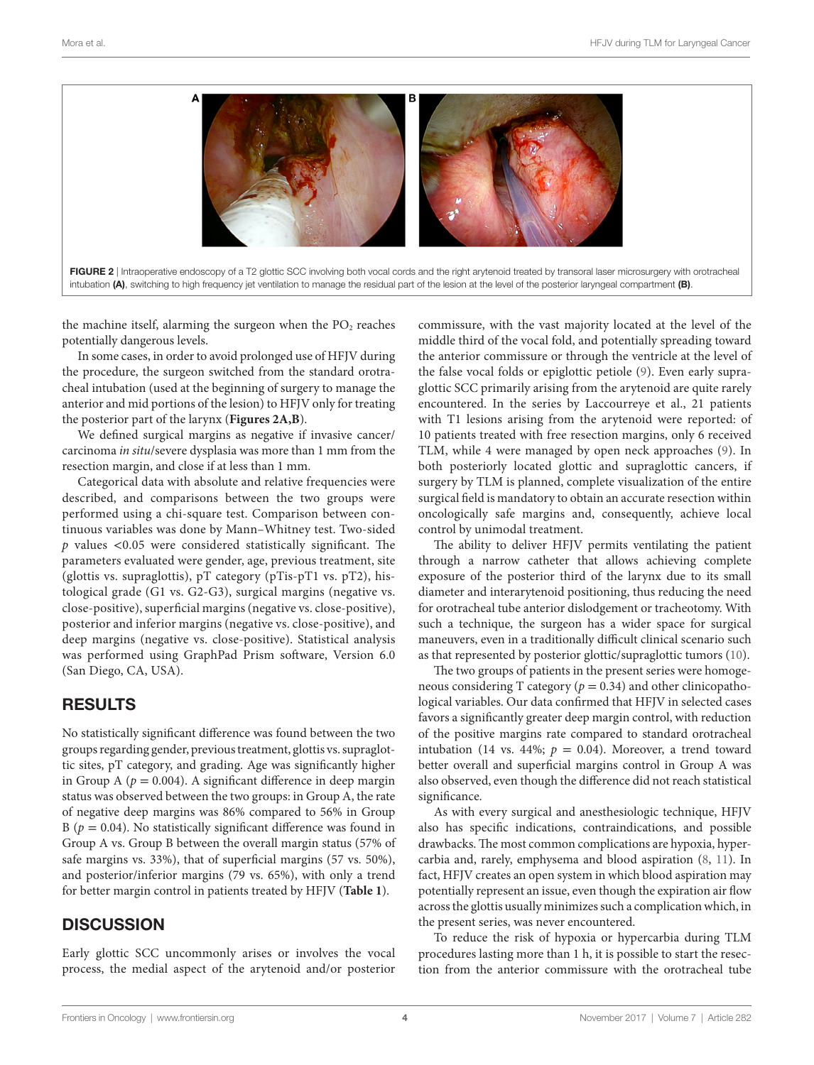

the machine itself, alarming the surgeon when the  $PO<sub>2</sub>$  reaches potentially dangerous levels.

In some cases, in order to avoid prolonged use of HFJV during the procedure, the surgeon switched from the standard orotracheal intubation (used at the beginning of surgery to manage the anterior and mid portions of the lesion) to HFJV only for treating the posterior part of the larynx (**[Figures 2A,B](#page-3-0)**).

We defined surgical margins as negative if invasive cancer/ carcinoma *in situ*/severe dysplasia was more than 1 mm from the resection margin, and close if at less than 1 mm.

Categorical data with absolute and relative frequencies were described, and comparisons between the two groups were performed using a chi-square test. Comparison between continuous variables was done by Mann–Whitney test. Two-sided *p* values <0.05 were considered statistically significant. The parameters evaluated were gender, age, previous treatment, site (glottis vs. supraglottis), pT category (pTis-pT1 vs. pT2), histological grade (G1 vs. G2-G3), surgical margins (negative vs. close-positive), superficial margins (negative vs. close-positive), posterior and inferior margins (negative vs. close-positive), and deep margins (negative vs. close-positive). Statistical analysis was performed using GraphPad Prism software, Version 6.0 (San Diego, CA, USA).

### RESULTS

No statistically significant difference was found between the two groups regarding gender, previous treatment, glottis vs. supraglottic sites, pT category, and grading. Age was significantly higher in Group A ( $p = 0.004$ ). A significant difference in deep margin status was observed between the two groups: in Group A, the rate of negative deep margins was 86% compared to 56% in Group B ( $p = 0.04$ ). No statistically significant difference was found in Group A vs. Group B between the overall margin status (57% of safe margins vs. 33%), that of superficial margins (57 vs. 50%), and posterior/inferior margins (79 vs. 65%), with only a trend for better margin control in patients treated by HFJV (**[Table 1](#page-2-0)**).

## **DISCUSSION**

Early glottic SCC uncommonly arises or involves the vocal process, the medial aspect of the arytenoid and/or posterior <span id="page-3-0"></span>commissure, with the vast majority located at the level of the middle third of the vocal fold, and potentially spreading toward the anterior commissure or through the ventricle at the level of the false vocal folds or epiglottic petiole ([9](#page-4-7)). Even early supraglottic SCC primarily arising from the arytenoid are quite rarely encountered. In the series by Laccourreye et al., 21 patients with T1 lesions arising from the arytenoid were reported: of 10 patients treated with free resection margins, only 6 received TLM, while 4 were managed by open neck approaches [\(9\)](#page-4-7). In both posteriorly located glottic and supraglottic cancers, if surgery by TLM is planned, complete visualization of the entire surgical field is mandatory to obtain an accurate resection within oncologically safe margins and, consequently, achieve local control by unimodal treatment.

The ability to deliver HFJV permits ventilating the patient through a narrow catheter that allows achieving complete exposure of the posterior third of the larynx due to its small diameter and interarytenoid positioning, thus reducing the need for orotracheal tube anterior dislodgement or tracheotomy. With such a technique, the surgeon has a wider space for surgical maneuvers, even in a traditionally difficult clinical scenario such as that represented by posterior glottic/supraglottic tumors [\(10](#page-4-8)).

The two groups of patients in the present series were homogeneous considering T category ( $p = 0.34$ ) and other clinicopathological variables. Our data confirmed that HFJV in selected cases favors a significantly greater deep margin control, with reduction of the positive margins rate compared to standard orotracheal intubation (14 vs. 44%;  $p = 0.04$ ). Moreover, a trend toward better overall and superficial margins control in Group A was also observed, even though the difference did not reach statistical significance.

As with every surgical and anesthesiologic technique, HFJV also has specific indications, contraindications, and possible drawbacks. The most common complications are hypoxia, hypercarbia and, rarely, emphysema and blood aspiration ([8](#page-4-6), [11\)](#page-4-9). In fact, HFJV creates an open system in which blood aspiration may potentially represent an issue, even though the expiration air flow across the glottis usually minimizes such a complication which, in the present series, was never encountered.

To reduce the risk of hypoxia or hypercarbia during TLM procedures lasting more than 1 h, it is possible to start the resection from the anterior commissure with the orotracheal tube